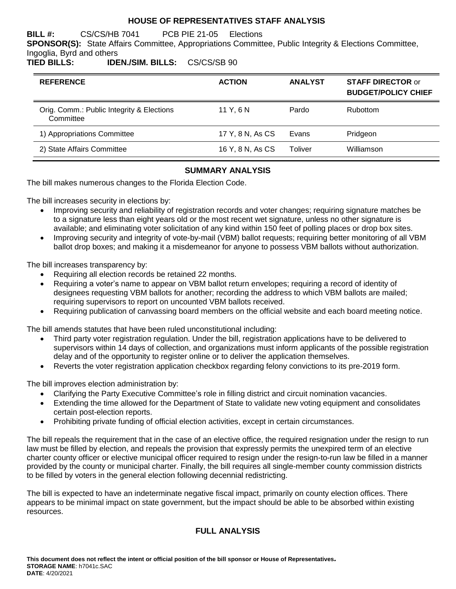### **HOUSE OF REPRESENTATIVES STAFF ANALYSIS**

**BILL #:** CS/CS/HB 7041 PCB PIE 21-05 Elections

**SPONSOR(S):** State Affairs Committee, Appropriations Committee, Public Integrity & Elections Committee,

#### Ingoglia, Byrd and others<br>TIED BILLS: IDE **TIED BILLS: IDEN./SIM. BILLS:** CS/CS/SB 90

| <b>REFERENCE</b>                                       | <b>ACTION</b>    | <b>ANALYST</b> | <b>STAFF DIRECTOR or</b><br><b>BUDGET/POLICY CHIEF</b> |
|--------------------------------------------------------|------------------|----------------|--------------------------------------------------------|
| Orig. Comm.: Public Integrity & Elections<br>Committee | 11 Y.GN          | Pardo          | <b>Rubottom</b>                                        |
| 1) Appropriations Committee                            | 17 Y, 8 N, As CS | Evans          | Pridgeon                                               |
| 2) State Affairs Committee                             | 16 Y, 8 N, As CS | Toliver        | Williamson                                             |

# **SUMMARY ANALYSIS**

The bill makes numerous changes to the Florida Election Code.

The bill increases security in elections by:

- Improving security and reliability of registration records and voter changes; requiring signature matches be to a signature less than eight years old or the most recent wet signature, unless no other signature is available; and eliminating voter solicitation of any kind within 150 feet of polling places or drop box sites.
- Improving security and integrity of vote-by-mail (VBM) ballot requests; requiring better monitoring of all VBM ballot drop boxes; and making it a misdemeanor for anyone to possess VBM ballots without authorization.

The bill increases transparency by:

- Requiring all election records be retained 22 months.
- Requiring a voter's name to appear on VBM ballot return envelopes; requiring a record of identity of designees requesting VBM ballots for another; recording the address to which VBM ballots are mailed; requiring supervisors to report on uncounted VBM ballots received.
- Requiring publication of canvassing board members on the official website and each board meeting notice.

The bill amends statutes that have been ruled unconstitutional including:

- Third party voter registration regulation. Under the bill, registration applications have to be delivered to supervisors within 14 days of collection, and organizations must inform applicants of the possible registration delay and of the opportunity to register online or to deliver the application themselves.
- Reverts the voter registration application checkbox regarding felony convictions to its pre-2019 form.

The bill improves election administration by:

- Clarifying the Party Executive Committee's role in filling district and circuit nomination vacancies.
- Extending the time allowed for the Department of State to validate new voting equipment and consolidates certain post-election reports.
- Prohibiting private funding of official election activities, except in certain circumstances.

The bill repeals the requirement that in the case of an elective office, the required resignation under the resign to run law must be filled by election, and repeals the provision that expressly permits the unexpired term of an elective charter county officer or elective municipal officer required to resign under the resign-to-run law be filled in a manner provided by the county or municipal charter. Finally, the bill requires all single-member county commission districts to be filled by voters in the general election following decennial redistricting.

The bill is expected to have an indeterminate negative fiscal impact, primarily on county election offices. There appears to be minimal impact on state government, but the impact should be able to be absorbed within existing resources.

# **FULL ANALYSIS**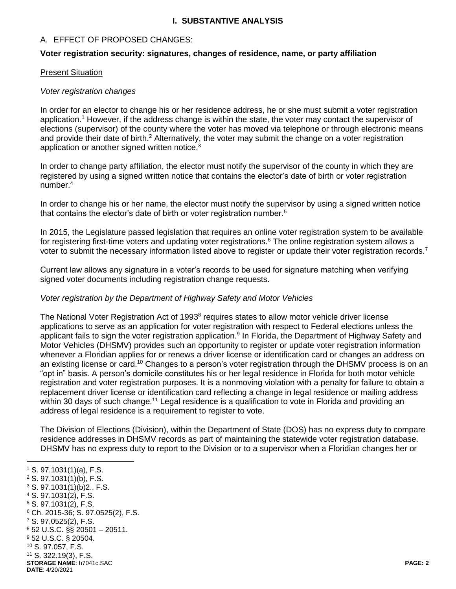### **I. SUBSTANTIVE ANALYSIS**

# A. EFFECT OF PROPOSED CHANGES:

#### **Voter registration security: signatures, changes of residence, name, or party affiliation**

#### Present Situation

#### *Voter registration changes*

In order for an elector to change his or her residence address, he or she must submit a voter registration application.<sup>1</sup> However, if the address change is within the state, the voter may contact the supervisor of elections (supervisor) of the county where the voter has moved via telephone or through electronic means and provide their date of birth.<sup>2</sup> Alternatively, the voter may submit the change on a voter registration application or another signed written notice.<sup>3</sup>

In order to change party affiliation, the elector must notify the supervisor of the county in which they are registered by using a signed written notice that contains the elector's date of birth or voter registration number.<sup>4</sup>

In order to change his or her name, the elector must notify the supervisor by using a signed written notice that contains the elector's date of birth or voter registration number.<sup>5</sup>

In 2015, the Legislature passed legislation that requires an online voter registration system to be available for registering first-time voters and updating voter registrations.<sup>6</sup> The online registration system allows a voter to submit the necessary information listed above to register or update their voter registration records.<sup>7</sup>

Current law allows any signature in a voter's records to be used for signature matching when verifying signed voter documents including registration change requests.

#### *Voter registration by the Department of Highway Safety and Motor Vehicles*

The National Voter Registration Act of 1993<sup>8</sup> requires states to allow motor vehicle driver license applications to serve as an application for voter registration with respect to Federal elections unless the applicant fails to sign the voter registration application.<sup>9</sup> In Florida, the Department of Highway Safety and Motor Vehicles (DHSMV) provides such an opportunity to register or update voter registration information whenever a Floridian applies for or renews a driver license or identification card or changes an address on an existing license or card.<sup>10</sup> Changes to a person's voter registration through the DHSMV process is on an "opt in" basis. A person's domicile constitutes his or her legal residence in Florida for both motor vehicle registration and voter registration purposes. It is a nonmoving violation with a penalty for failure to obtain a replacement driver license or identification card reflecting a change in legal residence or mailing address within 30 days of such change.<sup>11</sup> Legal residence is a qualification to vote in Florida and providing an address of legal residence is a requirement to register to vote.

The Division of Elections (Division), within the Department of State (DOS) has no express duty to compare residence addresses in DHSMV records as part of maintaining the statewide voter registration database. DHSMV has no express duty to report to the Division or to a supervisor when a Floridian changes her or

- $2$  S. 97.1031(1)(b), F.S.
- <sup>3</sup> S. 97.1031(1)(b)2., F.S.
- <sup>4</sup> S. 97.1031(2), F.S.
- <sup>5</sup> S. 97.1031(2), F.S. <sup>6</sup> Ch. 2015-36; S. 97.0525(2), F.S.
- <sup>7</sup> S. 97.0525(2), F.S.
- <sup>8</sup> 52 U.S.C. §§ 20501 20511.
- <sup>9</sup> 52 U.S.C. § 20504.
- <sup>10</sup> S. 97.057, F.S.
- <sup>11</sup> S. 322.19(3), F.S.
- **STORAGE NAME**: h7041c.SAC **PAGE: 2**
- **DATE**: 4/20/2021

<sup>1</sup> S. 97.1031(1)(a), F.S.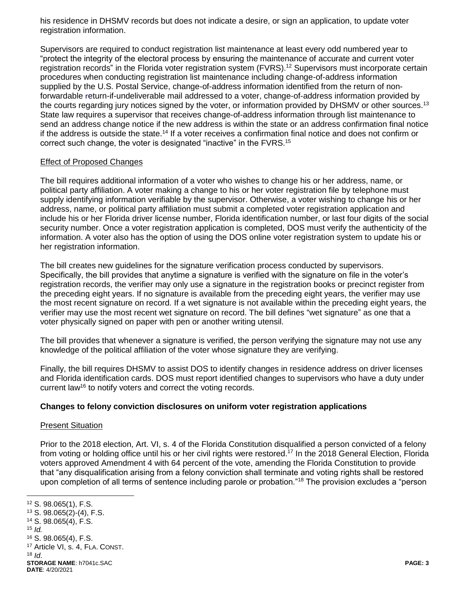his residence in DHSMV records but does not indicate a desire, or sign an application, to update voter registration information.

Supervisors are required to conduct registration list maintenance at least every odd numbered year to "protect the integrity of the electoral process by ensuring the maintenance of accurate and current voter registration records" in the Florida voter registration system (FVRS).<sup>12</sup> Supervisors must incorporate certain procedures when conducting registration list maintenance including change-of-address information supplied by the U.S. Postal Service, change-of-address information identified from the return of nonforwardable return-if-undeliverable mail addressed to a voter, change-of-address information provided by the courts regarding jury notices signed by the voter, or information provided by DHSMV or other sources.<sup>13</sup> State law requires a supervisor that receives change-of-address information through list maintenance to send an address change notice if the new address is within the state or an address confirmation final notice if the address is outside the state.<sup>14</sup> If a voter receives a confirmation final notice and does not confirm or correct such change, the voter is designated "inactive" in the FVRS.<sup>15</sup>

### Effect of Proposed Changes

The bill requires additional information of a voter who wishes to change his or her address, name, or political party affiliation. A voter making a change to his or her voter registration file by telephone must supply identifying information verifiable by the supervisor. Otherwise, a voter wishing to change his or her address, name, or political party affiliation must submit a completed voter registration application and include his or her Florida driver license number, Florida identification number, or last four digits of the social security number. Once a voter registration application is completed, DOS must verify the authenticity of the information. A voter also has the option of using the DOS online voter registration system to update his or her registration information.

The bill creates new guidelines for the signature verification process conducted by supervisors. Specifically, the bill provides that anytime a signature is verified with the signature on file in the voter's registration records, the verifier may only use a signature in the registration books or precinct register from the preceding eight years. If no signature is available from the preceding eight years, the verifier may use the most recent signature on record. If a wet signature is not available within the preceding eight years, the verifier may use the most recent wet signature on record. The bill defines "wet signature" as one that a voter physically signed on paper with pen or another writing utensil.

The bill provides that whenever a signature is verified, the person verifying the signature may not use any knowledge of the political affiliation of the voter whose signature they are verifying.

Finally, the bill requires DHSMV to assist DOS to identify changes in residence address on driver licenses and Florida identification cards. DOS must report identified changes to supervisors who have a duty under current law<sup>16</sup> to notify voters and correct the voting records.

#### **Changes to felony conviction disclosures on uniform voter registration applications**

#### Present Situation

Prior to the 2018 election, Art. VI, s. 4 of the Florida Constitution disqualified a person convicted of a felony from voting or holding office until his or her civil rights were restored.<sup>17</sup> In the 2018 General Election, Florida voters approved Amendment 4 with 64 percent of the vote, amending the Florida Constitution to provide that "any disqualification arising from a felony conviction shall terminate and voting rights shall be restored upon completion of all terms of sentence including parole or probation."<sup>18</sup> The provision excludes a "person

**STORAGE NAME**: h7041c.SAC **PAGE: 3 DATE**: 4/20/2021 <sup>12</sup> S. 98.065(1), F.S. <sup>13</sup> S. 98.065(2)-(4), F.S. <sup>14</sup> S. 98.065(4), F.S. 15  $\overline{M}$ <sup>16</sup> S. 98.065(4), F.S. <sup>17</sup> Article VI, s. 4, FLA. CONST.  $18$  *Id.*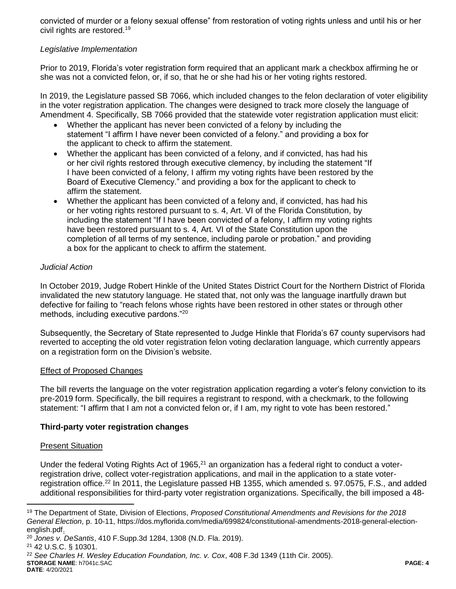convicted of murder or a felony sexual offense" from restoration of voting rights unless and until his or her civil rights are restored.<sup>19</sup>

# *Legislative Implementation*

Prior to 2019, Florida's voter registration form required that an applicant mark a checkbox affirming he or she was not a convicted felon, or, if so, that he or she had his or her voting rights restored.

In 2019, the Legislature passed SB 7066, which included changes to the felon declaration of voter eligibility in the voter registration application. The changes were designed to track more closely the language of Amendment 4. Specifically, SB 7066 provided that the statewide voter registration application must elicit:

- Whether the applicant has never been convicted of a felony by including the statement "I affirm I have never been convicted of a felony." and providing a box for the applicant to check to affirm the statement.
- Whether the applicant has been convicted of a felony, and if convicted, has had his or her civil rights restored through executive clemency, by including the statement "If I have been convicted of a felony, I affirm my voting rights have been restored by the Board of Executive Clemency." and providing a box for the applicant to check to affirm the statement.
- Whether the applicant has been convicted of a felony and, if convicted, has had his or her voting rights restored pursuant to s. 4, Art. VI of the Florida Constitution, by including the statement "If I have been convicted of a felony, I affirm my voting rights have been restored pursuant to s. 4, Art. VI of the State Constitution upon the completion of all terms of my sentence, including parole or probation." and providing a box for the applicant to check to affirm the statement.

# *Judicial Action*

In October 2019, Judge Robert Hinkle of the United States District Court for the Northern District of Florida invalidated the new statutory language. He stated that, not only was the language inartfully drawn but defective for failing to "reach felons whose rights have been restored in other states or through other methods, including executive pardons."<sup>20</sup>

Subsequently, the Secretary of State represented to Judge Hinkle that Florida's 67 county supervisors had reverted to accepting the old voter registration felon voting declaration language, which currently appears on a registration form on the Division's website.

# Effect of Proposed Changes

The bill reverts the language on the voter registration application regarding a voter's felony conviction to its pre-2019 form. Specifically, the bill requires a registrant to respond, with a checkmark, to the following statement: "I affirm that I am not a convicted felon or, if I am, my right to vote has been restored."

# **Third-party voter registration changes**

#### Present Situation

Under the federal Voting Rights Act of 1965, $21$  an organization has a federal right to conduct a voterregistration drive, collect voter-registration applications, and mail in the application to a state voterregistration office.<sup>22</sup> In 2011, the Legislature passed HB 1355, which amended s. 97.0575, F.S., and added additional responsibilities for third-party voter registration organizations. Specifically, the bill imposed a 48-

<sup>22</sup> *See Charles H. Wesley Education Foundation, Inc. v. Cox*, 408 F.3d 1349 (11th Cir. 2005).

#### **STORAGE NAME**: h7041c.SAC **PAGE: 4 DATE**: 4/20/2021

<sup>19</sup> The Department of State, Division of Elections, *Proposed Constitutional Amendments and Revisions for the 2018 General Election*, p. 10-11, https://dos.myflorida.com/media/699824/constitutional-amendments-2018-general-electionenglish.pdf.

<sup>20</sup> *Jones v. DeSantis*, 410 F.Supp.3d 1284, 1308 (N.D. Fla. 2019).

<sup>21</sup> 42 U.S.C. § 10301.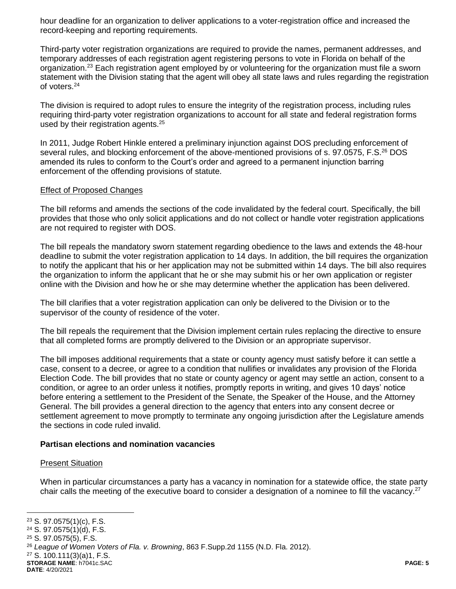hour deadline for an organization to deliver applications to a voter-registration office and increased the record-keeping and reporting requirements.

Third-party voter registration organizations are required to provide the names, permanent addresses, and temporary addresses of each registration agent registering persons to vote in Florida on behalf of the organization.<sup>23</sup> Each registration agent employed by or volunteering for the organization must file a sworn statement with the Division stating that the agent will obey all state laws and rules regarding the registration of voters.<sup>24</sup>

The division is required to adopt rules to ensure the integrity of the registration process, including rules requiring third-party voter registration organizations to account for all state and federal registration forms used by their registration agents.<sup>25</sup>

In 2011, Judge Robert Hinkle entered a preliminary injunction against DOS precluding enforcement of several rules, and blocking enforcement of the above-mentioned provisions of s. 97.0575, F.S.<sup>26</sup> DOS amended its rules to conform to the Court's order and agreed to a permanent injunction barring enforcement of the offending provisions of statute.

#### Effect of Proposed Changes

The bill reforms and amends the sections of the code invalidated by the federal court. Specifically, the bill provides that those who only solicit applications and do not collect or handle voter registration applications are not required to register with DOS.

The bill repeals the mandatory sworn statement regarding obedience to the laws and extends the 48-hour deadline to submit the voter registration application to 14 days. In addition, the bill requires the organization to notify the applicant that his or her application may not be submitted within 14 days. The bill also requires the organization to inform the applicant that he or she may submit his or her own application or register online with the Division and how he or she may determine whether the application has been delivered.

The bill clarifies that a voter registration application can only be delivered to the Division or to the supervisor of the county of residence of the voter.

The bill repeals the requirement that the Division implement certain rules replacing the directive to ensure that all completed forms are promptly delivered to the Division or an appropriate supervisor.

The bill imposes additional requirements that a state or county agency must satisfy before it can settle a case, consent to a decree, or agree to a condition that nullifies or invalidates any provision of the Florida Election Code. The bill provides that no state or county agency or agent may settle an action, consent to a condition, or agree to an order unless it notifies, promptly reports in writing, and gives 10 days' notice before entering a settlement to the President of the Senate, the Speaker of the House, and the Attorney General. The bill provides a general direction to the agency that enters into any consent decree or settlement agreement to move promptly to terminate any ongoing jurisdiction after the Legislature amends the sections in code ruled invalid.

# **Partisan elections and nomination vacancies**

#### Present Situation

When in particular circumstances a party has a vacancy in nomination for a statewide office, the state party chair calls the meeting of the executive board to consider a designation of a nominee to fill the vacancy.<sup>27</sup>

 $\overline{a}$ 

**STORAGE NAME**: h7041c.SAC **PAGE: 5 DATE**: 4/20/2021

<sup>23</sup> S. 97.0575(1)(c), F.S.

<sup>24</sup> S. 97.0575(1)(d), F.S.

<sup>25</sup> S. 97.0575(5), F.S.

<sup>26</sup> *League of Women Voters of Fla. v. Browning*, 863 F.Supp.2d 1155 (N.D. Fla. 2012).

<sup>27</sup> S. 100.111(3)(a)1, F.S.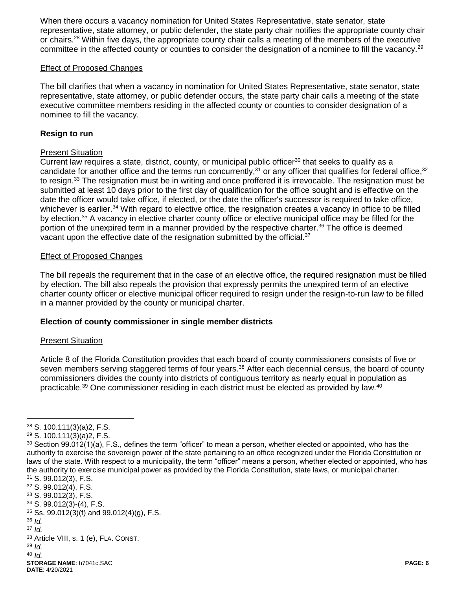When there occurs a vacancy nomination for United States Representative, state senator, state representative, state attorney, or public defender, the state party chair notifies the appropriate county chair or chairs.<sup>28</sup> Within five days, the appropriate county chair calls a meeting of the members of the executive committee in the affected county or counties to consider the designation of a nominee to fill the vacancy.<sup>29</sup>

#### Effect of Proposed Changes

The bill clarifies that when a vacancy in nomination for United States Representative, state senator, state representative, state attorney, or public defender occurs, the state party chair calls a meeting of the state executive committee members residing in the affected county or counties to consider designation of a nominee to fill the vacancy.

# **Resign to run**

### Present Situation

Current law requires a state, district, county, or municipal public officer<sup>30</sup> that seeks to qualify as a candidate for another office and the terms run concurrently,<sup>31</sup> or any officer that qualifies for federal office,<sup>32</sup> to resign.<sup>33</sup> The resignation must be in writing and once proffered it is irrevocable. The resignation must be submitted at least 10 days prior to the first day of qualification for the office sought and is effective on the date the officer would take office, if elected, or the date the officer's successor is required to take office, whichever is earlier.<sup>34</sup> With regard to elective office, the resignation creates a vacancy in office to be filled by election.<sup>35</sup> A vacancy in elective charter county office or elective municipal office may be filled for the portion of the unexpired term in a manner provided by the respective charter.<sup>36</sup> The office is deemed vacant upon the effective date of the resignation submitted by the official.<sup>37</sup>

### Effect of Proposed Changes

The bill repeals the requirement that in the case of an elective office, the required resignation must be filled by election. The bill also repeals the provision that expressly permits the unexpired term of an elective charter county officer or elective municipal officer required to resign under the resign-to-run law to be filled in a manner provided by the county or municipal charter.

# **Election of county commissioner in single member districts**

#### Present Situation

Article 8 of the Florida Constitution provides that each board of county commissioners consists of five or seven members serving staggered terms of four years.<sup>38</sup> After each decennial census, the board of county commissioners divides the county into districts of contiguous territory as nearly equal in population as practicable.<sup>39</sup> One commissioner residing in each district must be elected as provided by law.<sup>40</sup>

<sup>37</sup> *Id.* 

 $\overline{a}$ 

<sup>40</sup> *Id.*

<sup>28</sup> S. 100.111(3)(a)2, F.S.

<sup>29</sup> S. 100.111(3)(a)2, F.S.

 $30$  Section 99.012(1)(a), F.S., defines the term "officer" to mean a person, whether elected or appointed, who has the authority to exercise the sovereign power of the state pertaining to an office recognized under the Florida Constitution or laws of the state. With respect to a municipality, the term "officer" means a person, whether elected or appointed, who has the authority to exercise municipal power as provided by the Florida Constitution, state laws, or municipal charter.

<sup>31</sup> S. 99.012(3), F.S.

<sup>32</sup> S. 99.012(4), F.S.

<sup>33</sup> S. 99.012(3), F.S.

<sup>34</sup> S. 99.012(3)-(4), F.S.

 $35$  Ss. 99.012(3)(f) and 99.012(4)(g), F.S. <sup>36</sup> *Id.* 

<sup>38</sup> Article VIII, s. 1 (e), FLA. CONST. <sup>39</sup> *Id.*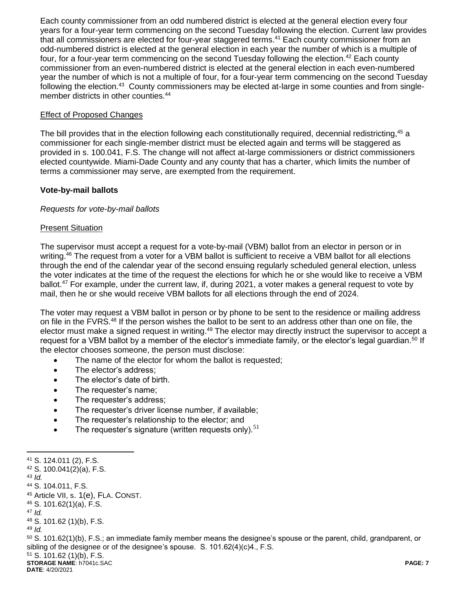Each county commissioner from an odd numbered district is elected at the general election every four years for a four-year term commencing on the second Tuesday following the election. Current law provides that all commissioners are elected for four-year staggered terms.<sup>41</sup> Each county commissioner from an odd-numbered district is elected at the general election in each year the number of which is a multiple of four, for a four-year term commencing on the second Tuesday following the election.<sup>42</sup> Each county commissioner from an even-numbered district is elected at the general election in each even-numbered year the number of which is not a multiple of four, for a four-year term commencing on the second Tuesday following the election.<sup>43</sup> County commissioners may be elected at-large in some counties and from singlemember districts in other counties.<sup>44</sup>

### Effect of Proposed Changes

The bill provides that in the election following each constitutionally required, decennial redistricting,<sup>45</sup> a commissioner for each single-member district must be elected again and terms will be staggered as provided in s. 100.041, F.S. The change will not affect at-large commissioners or district commissioners elected countywide. Miami-Dade County and any county that has a charter, which limits the number of terms a commissioner may serve, are exempted from the requirement.

### **Vote-by-mail ballots**

#### *Requests for vote-by-mail ballots*

### Present Situation

 $\overline{a}$ 

The supervisor must accept a request for a vote-by-mail (VBM) ballot from an elector in person or in writing.<sup>46</sup> The request from a voter for a VBM ballot is sufficient to receive a VBM ballot for all elections through the end of the calendar year of the second ensuing regularly scheduled general election, unless the voter indicates at the time of the request the elections for which he or she would like to receive a VBM ballot.<sup>47</sup> For example, under the current law, if, during 2021, a voter makes a general request to vote by mail, then he or she would receive VBM ballots for all elections through the end of 2024.

The voter may request a VBM ballot in person or by phone to be sent to the residence or mailing address on file in the FVRS.<sup>48</sup> If the person wishes the ballot to be sent to an address other than one on file, the elector must make a signed request in writing.<sup>49</sup> The elector may directly instruct the supervisor to accept a request for a VBM ballot by a member of the elector's immediate family, or the elector's legal guardian.<sup>50</sup> If the elector chooses someone, the person must disclose:

- The name of the elector for whom the ballot is requested;
- The elector's address:
- The elector's date of birth.
- The requester's name;
- The requester's address;
- The requester's driver license number, if available:
- The requester's relationship to the elector; and
- $\bullet$  The requester's signature (written requests only).<sup>51</sup>

**STORAGE NAME**: h7041c.SAC **PAGE: 7 DATE**: 4/20/2021 <sup>41</sup> S. 124.011 (2), F.S. <sup>42</sup> S. 100.041(2)(a), F.S. <sup>43</sup> *Id.* <sup>44</sup> S. 104.011, F.S. <sup>45</sup> Article VII, s. 1(e), FLA. CONST. <sup>46</sup> S. 101.62(1)(a), F.S. <sup>47</sup> *Id.* <sup>48</sup> S. 101.62 (1)(b), F.S. <sup>49</sup> *Id.* 50 S. 101.62(1)(b), F.S.; an immediate family member means the designee's spouse or the parent, child, grandparent, or sibling of the designee or of the designee's spouse. S. 101.62(4)(c)4., F.S. <sup>51</sup> S. 101.62 (1)(b), F.S.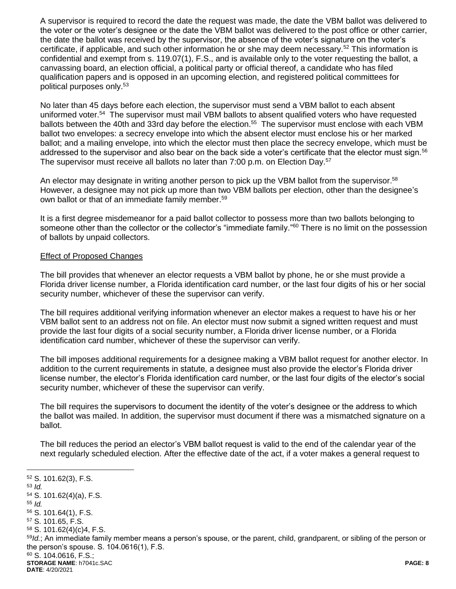A supervisor is required to record the date the request was made, the date the VBM ballot was delivered to the voter or the voter's designee or the date the VBM ballot was delivered to the post office or other carrier, the date the ballot was received by the supervisor, the absence of the voter's signature on the voter's certificate, if applicable, and such other information he or she may deem necessary.<sup>52</sup> This information is confidential and exempt from s. 119.07(1), F.S., and is available only to the voter requesting the ballot, a canvassing board, an election official, a political party or official thereof, a candidate who has filed qualification papers and is opposed in an upcoming election, and registered political committees for political purposes only.<sup>53</sup>

No later than 45 days before each election, the supervisor must send a VBM ballot to each absent uniformed voter.<sup>54</sup> The supervisor must mail VBM ballots to absent qualified voters who have requested ballots between the 40th and 33rd day before the election.<sup>55</sup> The supervisor must enclose with each VBM ballot two envelopes: a secrecy envelope into which the absent elector must enclose his or her marked ballot; and a mailing envelope, into which the elector must then place the secrecy envelope, which must be addressed to the supervisor and also bear on the back side a voter's certificate that the elector must sign.<sup>56</sup> The supervisor must receive all ballots no later than 7:00 p.m. on Election Day.<sup>57</sup>

An elector may designate in writing another person to pick up the VBM ballot from the supervisor.<sup>58</sup> However, a designee may not pick up more than two VBM ballots per election, other than the designee's own ballot or that of an immediate family member.<sup>59</sup>

It is a first degree misdemeanor for a paid ballot collector to possess more than two ballots belonging to someone other than the collector or the collector's "immediate family." <sup>60</sup> There is no limit on the possession of ballots by unpaid collectors.

### Effect of Proposed Changes

 $\overline{a}$ 

The bill provides that whenever an elector requests a VBM ballot by phone, he or she must provide a Florida driver license number, a Florida identification card number, or the last four digits of his or her social security number, whichever of these the supervisor can verify.

The bill requires additional verifying information whenever an elector makes a request to have his or her VBM ballot sent to an address not on file. An elector must now submit a signed written request and must provide the last four digits of a social security number, a Florida driver license number, or a Florida identification card number, whichever of these the supervisor can verify.

The bill imposes additional requirements for a designee making a VBM ballot request for another elector. In addition to the current requirements in statute, a designee must also provide the elector's Florida driver license number, the elector's Florida identification card number, or the last four digits of the elector's social security number, whichever of these the supervisor can verify.

The bill requires the supervisors to document the identity of the voter's designee or the address to which the ballot was mailed. In addition, the supervisor must document if there was a mismatched signature on a ballot.

The bill reduces the period an elector's VBM ballot request is valid to the end of the calendar year of the next regularly scheduled election. After the effective date of the act, if a voter makes a general request to

**STORAGE NAME**: h7041c.SAC **PAGE: 8 DATE**: 4/20/2021 <sup>52</sup> S. 101.62(3), F.S. <sup>53</sup> *Id.* <sup>54</sup> S. 101.62(4)(a), F.S. <sup>55</sup> *Id.* <sup>56</sup> S. 101.64(1), F.S. <sup>57</sup> S. 101.65, F.S. <sup>58</sup> S. 101.62(4)(c)4, F.S. <sup>59</sup>*Id.*; An immediate family member means a person's spouse, or the parent, child, grandparent, or sibling of the person or the person's spouse. S. 104.0616(1), F.S. <sup>60</sup> S. 104.0616, F.S.;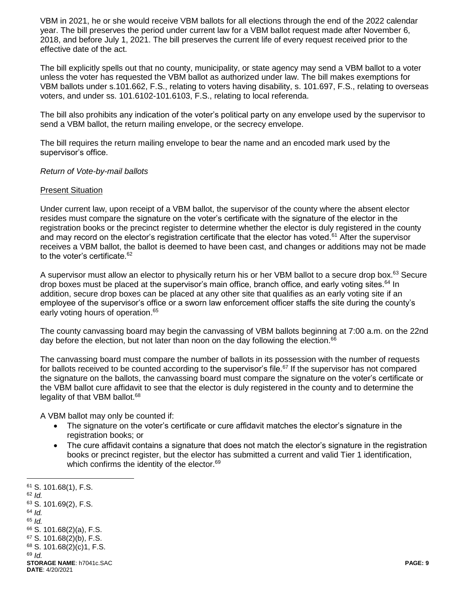VBM in 2021, he or she would receive VBM ballots for all elections through the end of the 2022 calendar year. The bill preserves the period under current law for a VBM ballot request made after November 6, 2018, and before July 1, 2021. The bill preserves the current life of every request received prior to the effective date of the act.

The bill explicitly spells out that no county, municipality, or state agency may send a VBM ballot to a voter unless the voter has requested the VBM ballot as authorized under law. The bill makes exemptions for VBM ballots under s.101.662, F.S., relating to voters having disability, s. 101.697, F.S., relating to overseas voters, and under ss. 101.6102-101.6103, F.S., relating to local referenda.

The bill also prohibits any indication of the voter's political party on any envelope used by the supervisor to send a VBM ballot, the return mailing envelope, or the secrecy envelope.

The bill requires the return mailing envelope to bear the name and an encoded mark used by the supervisor's office.

#### *Return of Vote-by-mail ballots*

### Present Situation

Under current law, upon receipt of a VBM ballot, the supervisor of the county where the absent elector resides must compare the signature on the voter's certificate with the signature of the elector in the registration books or the precinct register to determine whether the elector is duly registered in the county and may record on the elector's registration certificate that the elector has voted.<sup>61</sup> After the supervisor receives a VBM ballot, the ballot is deemed to have been cast, and changes or additions may not be made to the voter's certificate.<sup>62</sup>

A supervisor must allow an elector to physically return his or her VBM ballot to a secure drop box.<sup>63</sup> Secure drop boxes must be placed at the supervisor's main office, branch office, and early voting sites.<sup>64</sup> In addition, secure drop boxes can be placed at any other site that qualifies as an early voting site if an employee of the supervisor's office or a sworn law enforcement officer staffs the site during the county's early voting hours of operation.<sup>65</sup>

The county canvassing board may begin the canvassing of VBM ballots beginning at 7:00 a.m. on the 22nd day before the election, but not later than noon on the day following the election. $66$ 

The canvassing board must compare the number of ballots in its possession with the number of requests for ballots received to be counted according to the supervisor's file.<sup>67</sup> If the supervisor has not compared the signature on the ballots, the canvassing board must compare the signature on the voter's certificate or the VBM ballot cure affidavit to see that the elector is duly registered in the county and to determine the legality of that VBM ballot.<sup>68</sup>

A VBM ballot may only be counted if:

- The signature on the voter's certificate or cure affidavit matches the elector's signature in the registration books; or
- The cure affidavit contains a signature that does not match the elector's signature in the registration books or precinct register, but the elector has submitted a current and valid Tier 1 identification, which confirms the identity of the elector.<sup>69</sup>

**STORAGE NAME**: h7041c.SAC **PAGE: 9 DATE**: 4/20/2021 <sup>61</sup> S. 101.68(1), F.S. <sup>62</sup> *Id.* <sup>63</sup> S. 101.69(2), F.S. <sup>64</sup> *Id.* <sup>65</sup> *Id.* <sup>66</sup> S. 101.68(2)(a), F.S.  $67$  S. 101.68(2)(b), F.S. <sup>68</sup> S. 101.68(2)(c)1, F.S. <sup>69</sup> *Id.*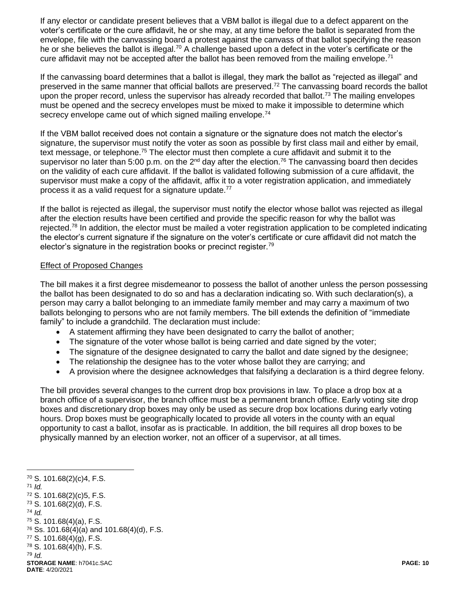If any elector or candidate present believes that a VBM ballot is illegal due to a defect apparent on the voter's certificate or the cure affidavit, he or she may, at any time before the ballot is separated from the envelope, file with the canvassing board a protest against the canvass of that ballot specifying the reason he or she believes the ballot is illegal.<sup>70</sup> A challenge based upon a defect in the voter's certificate or the cure affidavit may not be accepted after the ballot has been removed from the mailing envelope.<sup>71</sup>

If the canvassing board determines that a ballot is illegal, they mark the ballot as "rejected as illegal" and preserved in the same manner that official ballots are preserved.<sup>72</sup> The canvassing board records the ballot upon the proper record, unless the supervisor has already recorded that ballot.<sup>73</sup> The mailing envelopes must be opened and the secrecy envelopes must be mixed to make it impossible to determine which secrecy envelope came out of which signed mailing envelope.<sup>74</sup>

If the VBM ballot received does not contain a signature or the signature does not match the elector's signature, the supervisor must notify the voter as soon as possible by first class mail and either by email, text message, or telephone.<sup>75</sup> The elector must then complete a cure affidavit and submit it to the supervisor no later than 5:00 p.m. on the  $2^{nd}$  day after the election.<sup>76</sup> The canvassing board then decides on the validity of each cure affidavit. If the ballot is validated following submission of a cure affidavit, the supervisor must make a copy of the affidavit, affix it to a voter registration application, and immediately process it as a valid request for a signature update.<sup>77</sup>

If the ballot is rejected as illegal, the supervisor must notify the elector whose ballot was rejected as illegal after the election results have been certified and provide the specific reason for why the ballot was rejected.<sup>78</sup> In addition, the elector must be mailed a voter registration application to be completed indicating the elector's current signature if the signature on the voter's certificate or cure affidavit did not match the elector's signature in the registration books or precinct register.<sup>79</sup>

### Effect of Proposed Changes

The bill makes it a first degree misdemeanor to possess the ballot of another unless the person possessing the ballot has been designated to do so and has a declaration indicating so. With such declaration(s), a person may carry a ballot belonging to an immediate family member and may carry a maximum of two ballots belonging to persons who are not family members. The bill extends the definition of "immediate family" to include a grandchild. The declaration must include:

- A statement affirming they have been designated to carry the ballot of another;
- The signature of the voter whose ballot is being carried and date signed by the voter;
- The signature of the designee designated to carry the ballot and date signed by the designee;
- The relationship the designee has to the voter whose ballot they are carrying; and
- A provision where the designee acknowledges that falsifying a declaration is a third degree felony.

The bill provides several changes to the current drop box provisions in law. To place a drop box at a branch office of a supervisor, the branch office must be a permanent branch office. Early voting site drop boxes and discretionary drop boxes may only be used as secure drop box locations during early voting hours. Drop boxes must be geographically located to provide all voters in the county with an equal opportunity to cast a ballot, insofar as is practicable. In addition, the bill requires all drop boxes to be physically manned by an election worker, not an officer of a supervisor, at all times.

**STORAGE NAME**: h7041c.SAC **PAGE: 10**  $70$  S. 101.68(2)(c)4, F.S. <sup>71</sup> *Id.* <sup>72</sup> S. 101.68(2)(c)5, F.S. <sup>73</sup> S. 101.68(2)(d), F.S. <sup>74</sup> *Id.* <sup>75</sup> S. 101.68(4)(a), F.S.  $76$  Ss. 101.68(4)(a) and 101.68(4)(d), F.S. <sup>77</sup> S. 101.68(4)(g), F.S. <sup>78</sup> S. 101.68(4)(h), F.S. <sup>79</sup> *Id.*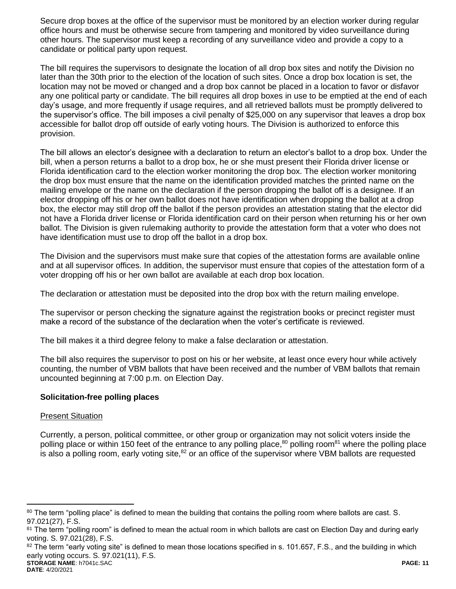Secure drop boxes at the office of the supervisor must be monitored by an election worker during regular office hours and must be otherwise secure from tampering and monitored by video surveillance during other hours. The supervisor must keep a recording of any surveillance video and provide a copy to a candidate or political party upon request.

The bill requires the supervisors to designate the location of all drop box sites and notify the Division no later than the 30th prior to the election of the location of such sites. Once a drop box location is set, the location may not be moved or changed and a drop box cannot be placed in a location to favor or disfavor any one political party or candidate. The bill requires all drop boxes in use to be emptied at the end of each day's usage, and more frequently if usage requires, and all retrieved ballots must be promptly delivered to the supervisor's office. The bill imposes a civil penalty of \$25,000 on any supervisor that leaves a drop box accessible for ballot drop off outside of early voting hours. The Division is authorized to enforce this provision.

The bill allows an elector's designee with a declaration to return an elector's ballot to a drop box. Under the bill, when a person returns a ballot to a drop box, he or she must present their Florida driver license or Florida identification card to the election worker monitoring the drop box. The election worker monitoring the drop box must ensure that the name on the identification provided matches the printed name on the mailing envelope or the name on the declaration if the person dropping the ballot off is a designee. If an elector dropping off his or her own ballot does not have identification when dropping the ballot at a drop box, the elector may still drop off the ballot if the person provides an attestation stating that the elector did not have a Florida driver license or Florida identification card on their person when returning his or her own ballot. The Division is given rulemaking authority to provide the attestation form that a voter who does not have identification must use to drop off the ballot in a drop box.

The Division and the supervisors must make sure that copies of the attestation forms are available online and at all supervisor offices. In addition, the supervisor must ensure that copies of the attestation form of a voter dropping off his or her own ballot are available at each drop box location.

The declaration or attestation must be deposited into the drop box with the return mailing envelope.

The supervisor or person checking the signature against the registration books or precinct register must make a record of the substance of the declaration when the voter's certificate is reviewed.

The bill makes it a third degree felony to make a false declaration or attestation.

The bill also requires the supervisor to post on his or her website, at least once every hour while actively counting, the number of VBM ballots that have been received and the number of VBM ballots that remain uncounted beginning at 7:00 p.m. on Election Day.

# **Solicitation-free polling places**

#### Present Situation

Currently, a person, political committee, or other group or organization may not solicit voters inside the polling place or within 150 feet of the entrance to any polling place,<sup>80</sup> polling room<sup>81</sup> where the polling place is also a polling room, early voting site,<sup>82</sup> or an office of the supervisor where VBM ballots are requested

**STORAGE NAME**: h7041c.SAC **PAGE: 11**  $82$  The term "early voting site" is defined to mean those locations specified in s. 101.657, F.S., and the building in which early voting occurs. S. 97.021(11), F.S.

<sup>80</sup> The term "polling place" is defined to mean the building that contains the polling room where ballots are cast. S. 97.021(27), F.S.

<sup>81</sup> The term "polling room" is defined to mean the actual room in which ballots are cast on Election Day and during early voting. S. 97.021(28), F.S.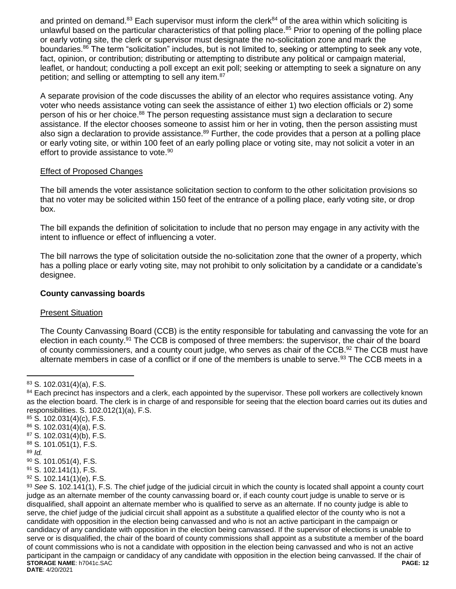and printed on demand.<sup>83</sup> Each supervisor must inform the clerk<sup>84</sup> of the area within which soliciting is unlawful based on the particular characteristics of that polling place.<sup>85</sup> Prior to opening of the polling place or early voting site, the clerk or supervisor must designate the no-solicitation zone and mark the boundaries.<sup>86</sup> The term "solicitation" includes, but is not limited to, seeking or attempting to seek any vote, fact, opinion, or contribution; distributing or attempting to distribute any political or campaign material, leaflet, or handout; conducting a poll except an exit poll; seeking or attempting to seek a signature on any petition; and selling or attempting to sell any item.<sup>87</sup>

A separate provision of the code discusses the ability of an elector who requires assistance voting. Any voter who needs assistance voting can seek the assistance of either 1) two election officials or 2) some person of his or her choice.<sup>88</sup> The person requesting assistance must sign a declaration to secure assistance. If the elector chooses someone to assist him or her in voting, then the person assisting must also sign a declaration to provide assistance.<sup>89</sup> Further, the code provides that a person at a polling place or early voting site, or within 100 feet of an early polling place or voting site, may not solicit a voter in an effort to provide assistance to vote.<sup>90</sup>

# Effect of Proposed Changes

The bill amends the voter assistance solicitation section to conform to the other solicitation provisions so that no voter may be solicited within 150 feet of the entrance of a polling place, early voting site, or drop box.

The bill expands the definition of solicitation to include that no person may engage in any activity with the intent to influence or effect of influencing a voter.

The bill narrows the type of solicitation outside the no-solicitation zone that the owner of a property, which has a polling place or early voting site, may not prohibit to only solicitation by a candidate or a candidate's designee.

# **County canvassing boards**

# Present Situation

The County Canvassing Board (CCB) is the entity responsible for tabulating and canvassing the vote for an election in each county.<sup>91</sup> The CCB is composed of three members: the supervisor, the chair of the board of county commissioners, and a county court judge, who serves as chair of the CCB.<sup>92</sup> The CCB must have alternate members in case of a conflict or if one of the members is unable to serve.<sup>93</sup> The CCB meets in a

- <sup>85</sup> S. 102.031(4)(c), F.S.
- <sup>86</sup> S. 102.031(4)(a), F.S.
- <sup>87</sup> S. 102.031(4)(b), F.S.
- <sup>88</sup> S. 101.051(1), F.S.
- <sup>89</sup> *Id.*

- <sup>90</sup> S. 101.051(4), F.S.
- <sup>91</sup> S. 102.141(1), F.S.
- $92$  S. 102.141(1)(e), F.S.

<sup>83</sup> S. 102.031(4)(a), F.S.

<sup>84</sup> Each precinct has inspectors and a clerk, each appointed by the supervisor. These poll workers are collectively known as the election board. The clerk is in charge of and responsible for seeing that the election board carries out its duties and responsibilities. S. 102.012(1)(a), F.S.

**STORAGE NAME**: h7041c.SAC **PAGE: 12 DATE**: 4/20/2021 <sup>93</sup> *See* S. 102.141(1), F.S. The chief judge of the judicial circuit in which the county is located shall appoint a county court judge as an alternate member of the county canvassing board or, if each county court judge is unable to serve or is disqualified, shall appoint an alternate member who is qualified to serve as an alternate. If no county judge is able to serve, the chief judge of the judicial circuit shall appoint as a substitute a qualified elector of the county who is not a candidate with opposition in the election being canvassed and who is not an active participant in the campaign or candidacy of any candidate with opposition in the election being canvassed. If the supervisor of elections is unable to serve or is disqualified, the chair of the board of county commissions shall appoint as a substitute a member of the board of count commissions who is not a candidate with opposition in the election being canvassed and who is not an active participant in the campaign or candidacy of any candidate with opposition in the election being canvassed. If the chair of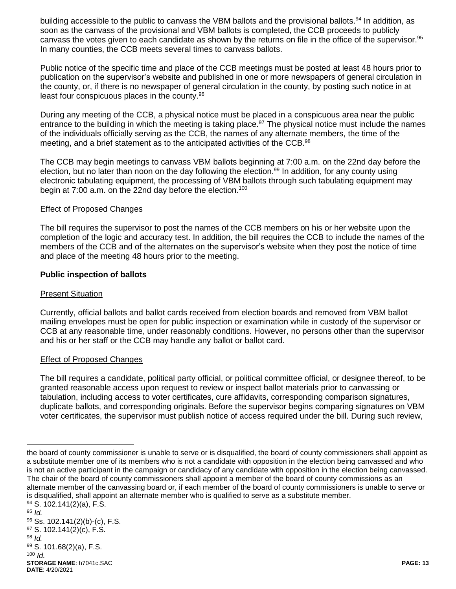building accessible to the public to canvass the VBM ballots and the provisional ballots.<sup>94</sup> In addition. as soon as the canvass of the provisional and VBM ballots is completed, the CCB proceeds to publicly canvass the votes given to each candidate as shown by the returns on file in the office of the supervisor.<sup>95</sup> In many counties, the CCB meets several times to canvass ballots.

Public notice of the specific time and place of the CCB meetings must be posted at least 48 hours prior to publication on the supervisor's website and published in one or more newspapers of general circulation in the county, or, if there is no newspaper of general circulation in the county, by posting such notice in at least four conspicuous places in the county.<sup>96</sup>

During any meeting of the CCB, a physical notice must be placed in a conspicuous area near the public entrance to the building in which the meeting is taking place.<sup>97</sup> The physical notice must include the names of the individuals officially serving as the CCB, the names of any alternate members, the time of the meeting, and a brief statement as to the anticipated activities of the CCB.<sup>98</sup>

The CCB may begin meetings to canvass VBM ballots beginning at 7:00 a.m. on the 22nd day before the election, but no later than noon on the day following the election.<sup>99</sup> In addition, for any county using electronic tabulating equipment, the processing of VBM ballots through such tabulating equipment may begin at 7:00 a.m. on the 22nd day before the election.<sup>100</sup>

### Effect of Proposed Changes

The bill requires the supervisor to post the names of the CCB members on his or her website upon the completion of the logic and accuracy test. In addition, the bill requires the CCB to include the names of the members of the CCB and of the alternates on the supervisor's website when they post the notice of time and place of the meeting 48 hours prior to the meeting.

# **Public inspection of ballots**

#### Present Situation

Currently, official ballots and ballot cards received from election boards and removed from VBM ballot mailing envelopes must be open for public inspection or examination while in custody of the supervisor or CCB at any reasonable time, under reasonably conditions. However, no persons other than the supervisor and his or her staff or the CCB may handle any ballot or ballot card.

# Effect of Proposed Changes

The bill requires a candidate, political party official, or political committee official, or designee thereof, to be granted reasonable access upon request to review or inspect ballot materials prior to canvassing or tabulation, including access to voter certificates, cure affidavits, corresponding comparison signatures, duplicate ballots, and corresponding originals. Before the supervisor begins comparing signatures on VBM voter certificates, the supervisor must publish notice of access required under the bill. During such review,

the board of county commissioner is unable to serve or is disqualified, the board of county commissioners shall appoint as a substitute member one of its members who is not a candidate with opposition in the election being canvassed and who is not an active participant in the campaign or candidacy of any candidate with opposition in the election being canvassed. The chair of the board of county commissioners shall appoint a member of the board of county commissions as an alternate member of the canvassing board or, if each member of the board of county commissioners is unable to serve or is disqualified, shall appoint an alternate member who is qualified to serve as a substitute member.

**STORAGE NAME**: h7041c.SAC **PAGE: 13 DATE**: 4/20/2021  $94$  S. 102.141(2)(a), F.S. <sup>95</sup> *Id.* <sup>96</sup> Ss. 102.141(2)(b)-(c), F.S.  $97$  S. 102.141(2)(c), F.S. <sup>98</sup> *Id.* <sup>99</sup> S. 101.68(2)(a), F.S. <sup>100</sup> *Id.*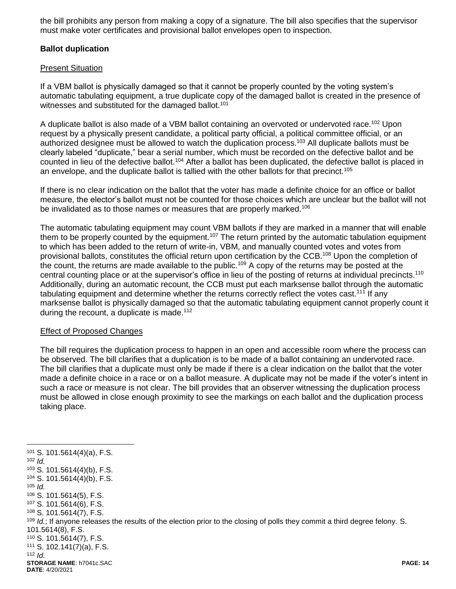the bill prohibits any person from making a copy of a signature. The bill also specifies that the supervisor must make voter certificates and provisional ballot envelopes open to inspection.

# **Ballot duplication**

#### Present Situation

If a VBM ballot is physically damaged so that it cannot be properly counted by the voting system's automatic tabulating equipment, a true duplicate copy of the damaged ballot is created in the presence of witnesses and substituted for the damaged ballot.<sup>101</sup>

A duplicate ballot is also made of a VBM ballot containing an overvoted or undervoted race.<sup>102</sup> Upon request by a physically present candidate, a political party official, a political committee official, or an authorized designee must be allowed to watch the duplication process.<sup>103</sup> All duplicate ballots must be clearly labeled "duplicate," bear a serial number, which must be recorded on the defective ballot and be counted in lieu of the defective ballot.<sup>104</sup> After a ballot has been duplicated, the defective ballot is placed in an envelope, and the duplicate ballot is tallied with the other ballots for that precinct.<sup>105</sup>

If there is no clear indication on the ballot that the voter has made a definite choice for an office or ballot measure, the elector's ballot must not be counted for those choices which are unclear but the ballot will not be invalidated as to those names or measures that are properly marked.<sup>106</sup>

The automatic tabulating equipment may count VBM ballots if they are marked in a manner that will enable them to be properly counted by the equipment.<sup>107</sup> The return printed by the automatic tabulation equipment to which has been added to the return of write-in, VBM, and manually counted votes and votes from provisional ballots, constitutes the official return upon certification by the CCB.<sup>108</sup> Upon the completion of the count, the returns are made available to the public.<sup>109</sup> A copy of the returns may be posted at the central counting place or at the supervisor's office in lieu of the posting of returns at individual precincts.<sup>110</sup> Additionally, during an automatic recount, the CCB must put each marksense ballot through the automatic tabulating equipment and determine whether the returns correctly reflect the votes cast.<sup>111</sup> If any marksense ballot is physically damaged so that the automatic tabulating equipment cannot properly count it during the recount, a duplicate is made.<sup>112</sup>

#### Effect of Proposed Changes

 $\overline{a}$ 

The bill requires the duplication process to happen in an open and accessible room where the process can be observed. The bill clarifies that a duplication is to be made of a ballot containing an undervoted race. The bill clarifies that a duplicate must only be made if there is a clear indication on the ballot that the voter made a definite choice in a race or on a ballot measure. A duplicate may not be made if the voter's intent in such a race or measure is not clear. The bill provides that an observer witnessing the duplication process must be allowed in close enough proximity to see the markings on each ballot and the duplication process taking place.

**STORAGE NAME**: h7041c.SAC **PAGE: 14 DATE**: 4/20/2021 <sup>101</sup> S. 101.5614(4)(a), F.S. <sup>102</sup> *Id.* <sup>103</sup> S. 101.5614(4)(b), F.S. <sup>104</sup> S. 101.5614(4)(b), F.S. <sup>105</sup> *Id.* <sup>106</sup> S. 101.5614(5), F.S. <sup>107</sup> S. 101.5614(6), F.S. <sup>108</sup> S. 101.5614(7), F.S. <sup>109</sup> *Id.*; If anyone releases the results of the election prior to the closing of polls they commit a third degree felony. S. 101.5614(8), F.S. <sup>110</sup> S. 101.5614(7), F.S. <sup>111</sup> S. 102.141(7)(a), F.S. <sup>112</sup> *Id.*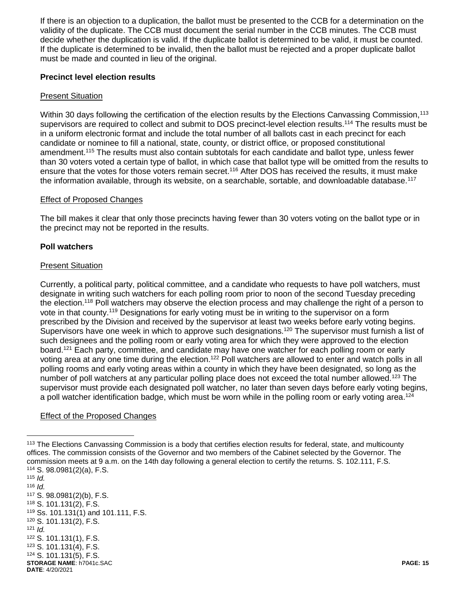If there is an objection to a duplication, the ballot must be presented to the CCB for a determination on the validity of the duplicate. The CCB must document the serial number in the CCB minutes. The CCB must decide whether the duplication is valid. If the duplicate ballot is determined to be valid, it must be counted. If the duplicate is determined to be invalid, then the ballot must be rejected and a proper duplicate ballot must be made and counted in lieu of the original.

# **Precinct level election results**

#### Present Situation

Within 30 days following the certification of the election results by the Elections Canvassing Commission,<sup>113</sup> supervisors are required to collect and submit to DOS precinct-level election results.<sup>114</sup> The results must be in a uniform electronic format and include the total number of all ballots cast in each precinct for each candidate or nominee to fill a national, state, county, or district office, or proposed constitutional amendment.<sup>115</sup> The results must also contain subtotals for each candidate and ballot type, unless fewer than 30 voters voted a certain type of ballot, in which case that ballot type will be omitted from the results to ensure that the votes for those voters remain secret.<sup>116</sup> After DOS has received the results, it must make the information available, through its website, on a searchable, sortable, and downloadable database.<sup>117</sup>

#### Effect of Proposed Changes

The bill makes it clear that only those precincts having fewer than 30 voters voting on the ballot type or in the precinct may not be reported in the results.

#### **Poll watchers**

### Present Situation

Currently, a political party, political committee, and a candidate who requests to have poll watchers, must designate in writing such watchers for each polling room prior to noon of the second Tuesday preceding the election.<sup>118</sup> Poll watchers may observe the election process and may challenge the right of a person to vote in that county.<sup>119</sup> Designations for early voting must be in writing to the supervisor on a form prescribed by the Division and received by the supervisor at least two weeks before early voting begins. Supervisors have one week in which to approve such designations.<sup>120</sup> The supervisor must furnish a list of such designees and the polling room or early voting area for which they were approved to the election board.<sup>121</sup> Each party, committee, and candidate may have one watcher for each polling room or early voting area at any one time during the election.<sup>122</sup> Poll watchers are allowed to enter and watch polls in all polling rooms and early voting areas within a county in which they have been designated, so long as the number of poll watchers at any particular polling place does not exceed the total number allowed.<sup>123</sup> The supervisor must provide each designated poll watcher, no later than seven days before early voting begins, a poll watcher identification badge, which must be worn while in the polling room or early voting area.<sup>124</sup>

# **Effect of the Proposed Changes**

<sup>&</sup>lt;sup>113</sup> The Elections Canvassing Commission is a body that certifies election results for federal, state, and multicounty offices. The commission consists of the Governor and two members of the Cabinet selected by the Governor. The commission meets at 9 a.m. on the 14th day following a general election to certify the returns. S. 102.111, F.S. <sup>114</sup> S. 98.0981(2)(a), F.S.

**STORAGE NAME**: h7041c.SAC **PAGE: 15 DATE**: 4/20/2021 <sup>115</sup> *Id.*   $116$  *Id.* <sup>117</sup> S. 98.0981(2)(b), F.S. <sup>118</sup> S. 101.131(2), F.S. <sup>119</sup> Ss. 101.131(1) and 101.111, F.S. <sup>120</sup> S. 101.131(2), F.S.  $121$  *Id.* <sup>122</sup> S. 101.131(1), F.S. <sup>123</sup> S. 101.131(4), F.S. <sup>124</sup> S. 101.131(5), F.S.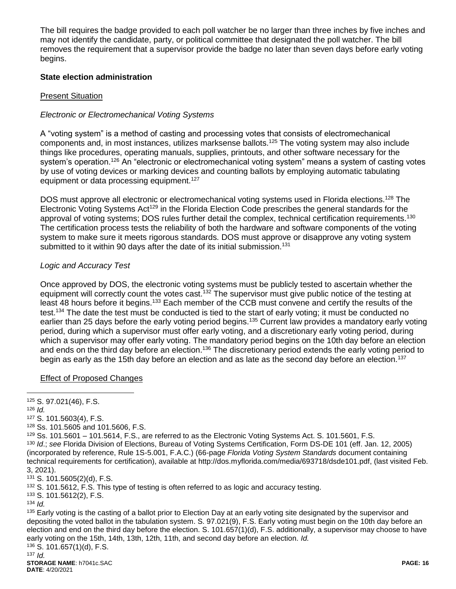The bill requires the badge provided to each poll watcher be no larger than three inches by five inches and may not identify the candidate, party, or political committee that designated the poll watcher. The bill removes the requirement that a supervisor provide the badge no later than seven days before early voting begins.

# **State election administration**

### Present Situation

# *Electronic or Electromechanical Voting Systems*

A "voting system" is a method of casting and processing votes that consists of electromechanical components and, in most instances, utilizes marksense ballots.<sup>125</sup> The voting system may also include things like procedures, operating manuals, supplies, printouts, and other software necessary for the system's operation.<sup>126</sup> An "electronic or electromechanical voting system" means a system of casting votes by use of voting devices or marking devices and counting ballots by employing automatic tabulating equipment or data processing equipment.<sup>127</sup>

DOS must approve all electronic or electromechanical voting systems used in Florida elections.<sup>128</sup> The Electronic Voting Systems Act<sup>129</sup> in the Florida Election Code prescribes the general standards for the approval of voting systems; DOS rules further detail the complex, technical certification requirements.<sup>130</sup> The certification process tests the reliability of both the hardware and software components of the voting system to make sure it meets rigorous standards. DOS must approve or disapprove any voting system submitted to it within 90 days after the date of its initial submission.<sup>131</sup>

# *Logic and Accuracy Test*

Once approved by DOS, the electronic voting systems must be publicly tested to ascertain whether the equipment will correctly count the votes cast.<sup>132</sup> The supervisor must give public notice of the testing at least 48 hours before it begins.<sup>133</sup> Each member of the CCB must convene and certify the results of the test.<sup>134</sup> The date the test must be conducted is tied to the start of early voting; it must be conducted no earlier than 25 days before the early voting period begins.<sup>135</sup> Current law provides a mandatory early voting period, during which a supervisor must offer early voting, and a discretionary early voting period, during which a supervisor may offer early voting. The mandatory period begins on the 10th day before an election and ends on the third day before an election.<sup>136</sup> The discretionary period extends the early voting period to begin as early as the 15th day before an election and as late as the second day before an election.<sup>137</sup>

#### Effect of Proposed Changes

<sup>126</sup> *Id.*

 $\overline{a}$ 

<sup>127</sup> S. 101.5603(4), F.S.

<sup>128</sup> Ss. 101.5605 and 101.5606, F.S.

<sup>133</sup> S. 101.5612(2), F.S.

<sup>134</sup> *Id.* 

<sup>135</sup> Early voting is the casting of a ballot prior to Election Day at an early voting site designated by the supervisor and depositing the voted ballot in the tabulation system. S. 97.021(9), F.S. Early voting must begin on the 10th day before an election and end on the third day before the election. S. 101.657(1)(d), F.S. additionally, a supervisor may choose to have early voting on the 15th, 14th, 13th, 12th, 11th, and second day before an election. *Id.* 

<sup>136</sup> S. 101.657(1)(d), F.S.  $137$  *Id.* 

<sup>125</sup> S. 97.021(46), F.S.

 $129$  Ss. 101.5601 – 101.5614, F.S., are referred to as the Electronic Voting Systems Act. S. 101.5601, F.S. <sup>130</sup> *Id*.; *see* Florida Division of Elections, Bureau of Voting Systems Certification, Form DS-DE 101 (eff. Jan. 12, 2005) (incorporated by reference, Rule 1S-5.001, F.A.C.) (66-page *Florida Voting System Standards* document containing technical requirements for certification), available at http://dos.myflorida.com/media/693718/dsde101.pdf, (last visited Feb. 3, 2021).

<sup>131</sup> S. 101.5605(2)(d), F.S.

<sup>&</sup>lt;sup>132</sup> S. 101.5612, F.S. This type of testing is often referred to as logic and accuracy testing.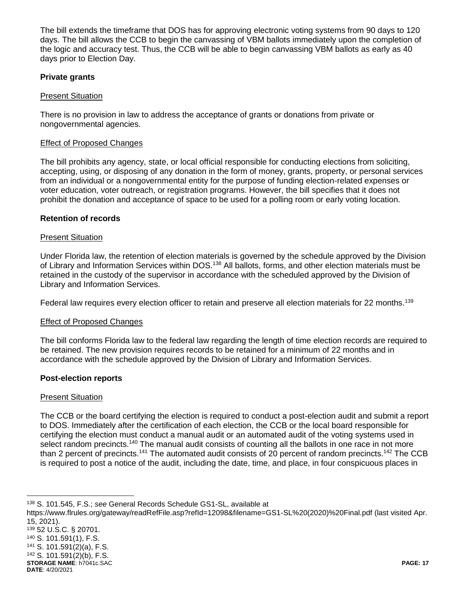The bill extends the timeframe that DOS has for approving electronic voting systems from 90 days to 120 days. The bill allows the CCB to begin the canvassing of VBM ballots immediately upon the completion of the logic and accuracy test. Thus, the CCB will be able to begin canvassing VBM ballots as early as 40 days prior to Election Day.

# **Private grants**

# Present Situation

There is no provision in law to address the acceptance of grants or donations from private or nongovernmental agencies.

### **Effect of Proposed Changes**

The bill prohibits any agency, state, or local official responsible for conducting elections from soliciting, accepting, using, or disposing of any donation in the form of money, grants, property, or personal services from an individual or a nongovernmental entity for the purpose of funding election-related expenses or voter education, voter outreach, or registration programs. However, the bill specifies that it does not prohibit the donation and acceptance of space to be used for a polling room or early voting location.

### **Retention of records**

### Present Situation

Under Florida law, the retention of election materials is governed by the schedule approved by the Division of Library and Information Services within DOS.<sup>138</sup> All ballots, forms, and other election materials must be retained in the custody of the supervisor in accordance with the scheduled approved by the Division of Library and Information Services.

Federal law requires every election officer to retain and preserve all election materials for 22 months.<sup>139</sup>

# Effect of Proposed Changes

The bill conforms Florida law to the federal law regarding the length of time election records are required to be retained. The new provision requires records to be retained for a minimum of 22 months and in accordance with the schedule approved by the Division of Library and Information Services.

#### **Post-election reports**

#### **Present Situation**

The CCB or the board certifying the election is required to conduct a post-election audit and submit a report to DOS. Immediately after the certification of each election, the CCB or the local board responsible for certifying the election must conduct a manual audit or an automated audit of the voting systems used in select random precincts.<sup>140</sup> The manual audit consists of counting all the ballots in one race in not more than 2 percent of precincts.<sup>141</sup> The automated audit consists of 20 percent of random precincts.<sup>142</sup> The CCB is required to post a notice of the audit, including the date, time, and place, in four conspicuous places in

<sup>138</sup> S. 101.545, F.S.; *see* General Records Schedule GS1-SL, available at

https://www.flrules.org/gateway/readRefFile.asp?refId=12098&filename=GS1-SL%20(2020)%20Final.pdf (last visited Apr. 15, 2021).

- <sup>139</sup> 52 U.S.C. § 20701. <sup>140</sup> S. 101.591(1), F.S. <sup>141</sup> S. 101.591(2)(a), F.S.
- <sup>142</sup> S. 101.591(2)(b), F.S.

 $\overline{a}$ 

**STORAGE NAME**: h7041c.SAC **PAGE: 17 DATE**: 4/20/2021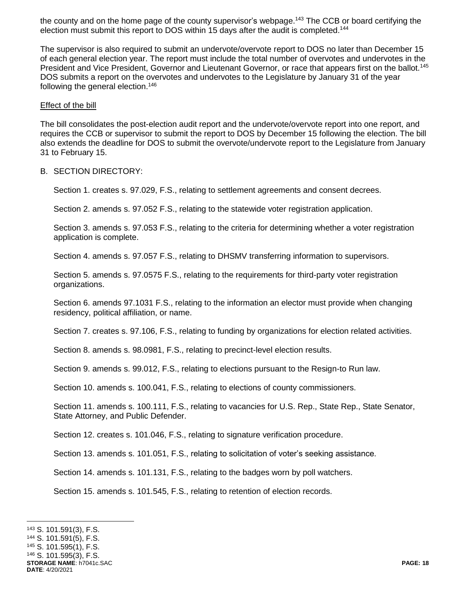the county and on the home page of the county supervisor's webpage.<sup>143</sup> The CCB or board certifying the election must submit this report to DOS within 15 days after the audit is completed.<sup>144</sup>

The supervisor is also required to submit an undervote/overvote report to DOS no later than December 15 of each general election year. The report must include the total number of overvotes and undervotes in the President and Vice President, Governor and Lieutenant Governor, or race that appears first on the ballot.<sup>145</sup> DOS submits a report on the overvotes and undervotes to the Legislature by January 31 of the year following the general election.<sup>146</sup>

#### Effect of the bill

The bill consolidates the post-election audit report and the undervote/overvote report into one report, and requires the CCB or supervisor to submit the report to DOS by December 15 following the election. The bill also extends the deadline for DOS to submit the overvote/undervote report to the Legislature from January 31 to February 15.

#### B. SECTION DIRECTORY:

Section 1. creates s. 97.029, F.S., relating to settlement agreements and consent decrees.

Section 2. amends s. 97.052 F.S., relating to the statewide voter registration application.

Section 3. amends s. 97.053 F.S., relating to the criteria for determining whether a voter registration application is complete.

Section 4. amends s. 97.057 F.S., relating to DHSMV transferring information to supervisors.

Section 5. amends s. 97.0575 F.S., relating to the requirements for third-party voter registration organizations.

Section 6. amends 97.1031 F.S., relating to the information an elector must provide when changing residency, political affiliation, or name.

Section 7. creates s. 97.106, F.S., relating to funding by organizations for election related activities.

Section 8. amends s. 98.0981, F.S., relating to precinct-level election results.

Section 9. amends s. 99.012, F.S., relating to elections pursuant to the Resign-to Run law.

Section 10. amends s. 100.041, F.S., relating to elections of county commissioners.

Section 11. amends s. 100.111, F.S., relating to vacancies for U.S. Rep., State Rep., State Senator, State Attorney, and Public Defender.

Section 12. creates s. 101.046, F.S., relating to signature verification procedure.

Section 13. amends s. 101.051, F.S., relating to solicitation of voter's seeking assistance.

Section 14. amends s. 101.131, F.S., relating to the badges worn by poll watchers.

Section 15. amends s. 101.545, F.S., relating to retention of election records.

 $\overline{a}$ <sup>143</sup> S. 101.591(3), F.S.

<sup>144</sup> S. 101.591(5), F.S.

<sup>145</sup> S. 101.595(1), F.S.

<sup>146</sup> S. 101.595(3), F.S.

**STORAGE NAME**: h7041c.SAC **PAGE: 18 DATE**: 4/20/2021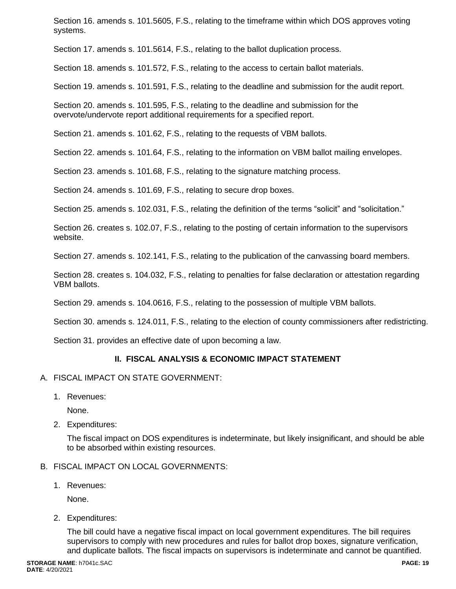Section 16. amends s. 101.5605, F.S., relating to the timeframe within which DOS approves voting systems.

Section 17. amends s. 101.5614, F.S., relating to the ballot duplication process.

Section 18. amends s. 101.572, F.S., relating to the access to certain ballot materials.

Section 19. amends s. 101.591, F.S., relating to the deadline and submission for the audit report.

Section 20. amends s. 101.595, F.S., relating to the deadline and submission for the overvote/undervote report additional requirements for a specified report.

Section 21. amends s. 101.62, F.S., relating to the requests of VBM ballots.

Section 22. amends s. 101.64, F.S., relating to the information on VBM ballot mailing envelopes.

Section 23. amends s. 101.68, F.S., relating to the signature matching process.

Section 24. amends s. 101.69, F.S., relating to secure drop boxes.

Section 25. amends s. 102.031, F.S., relating the definition of the terms "solicit" and "solicitation."

Section 26. creates s. 102.07, F.S., relating to the posting of certain information to the supervisors website.

Section 27. amends s. 102.141, F.S., relating to the publication of the canvassing board members.

Section 28. creates s. 104.032, F.S., relating to penalties for false declaration or attestation regarding VBM ballots.

Section 29. amends s. 104.0616, F.S., relating to the possession of multiple VBM ballots.

Section 30. amends s. 124.011, F.S., relating to the election of county commissioners after redistricting.

Section 31. provides an effective date of upon becoming a law.

# **II. FISCAL ANALYSIS & ECONOMIC IMPACT STATEMENT**

- A. FISCAL IMPACT ON STATE GOVERNMENT:
	- 1. Revenues:

None.

2. Expenditures:

The fiscal impact on DOS expenditures is indeterminate, but likely insignificant, and should be able to be absorbed within existing resources.

#### B. FISCAL IMPACT ON LOCAL GOVERNMENTS:

1. Revenues:

None.

2. Expenditures:

The bill could have a negative fiscal impact on local government expenditures. The bill requires supervisors to comply with new procedures and rules for ballot drop boxes, signature verification, and duplicate ballots. The fiscal impacts on supervisors is indeterminate and cannot be quantified.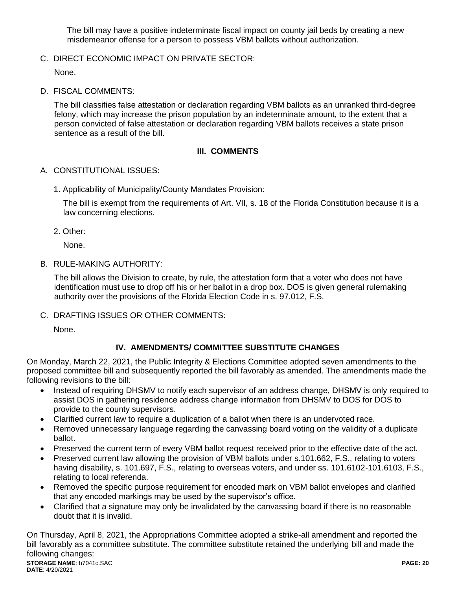The bill may have a positive indeterminate fiscal impact on county jail beds by creating a new misdemeanor offense for a person to possess VBM ballots without authorization.

C. DIRECT ECONOMIC IMPACT ON PRIVATE SECTOR:

None.

D. FISCAL COMMENTS:

The bill classifies false attestation or declaration regarding VBM ballots as an unranked third-degree felony, which may increase the prison population by an indeterminate amount, to the extent that a person convicted of false attestation or declaration regarding VBM ballots receives a state prison sentence as a result of the bill.

# **III. COMMENTS**

- A. CONSTITUTIONAL ISSUES:
	- 1. Applicability of Municipality/County Mandates Provision:

The bill is exempt from the requirements of Art. VII, s. 18 of the Florida Constitution because it is a law concerning elections.

2. Other:

None.

B. RULE-MAKING AUTHORITY:

The bill allows the Division to create, by rule, the attestation form that a voter who does not have identification must use to drop off his or her ballot in a drop box. DOS is given general rulemaking authority over the provisions of the Florida Election Code in s. 97.012, F.S.

C. DRAFTING ISSUES OR OTHER COMMENTS:

None.

# **IV. AMENDMENTS/ COMMITTEE SUBSTITUTE CHANGES**

On Monday, March 22, 2021, the Public Integrity & Elections Committee adopted seven amendments to the proposed committee bill and subsequently reported the bill favorably as amended. The amendments made the following revisions to the bill:

- Instead of requiring DHSMV to notify each supervisor of an address change, DHSMV is only required to assist DOS in gathering residence address change information from DHSMV to DOS for DOS to provide to the county supervisors.
- Clarified current law to require a duplication of a ballot when there is an undervoted race.
- Removed unnecessary language regarding the canvassing board voting on the validity of a duplicate ballot.
- Preserved the current term of every VBM ballot request received prior to the effective date of the act.
- Preserved current law allowing the provision of VBM ballots under s.101.662, F.S., relating to voters having disability, s. 101.697, F.S., relating to overseas voters, and under ss. 101.6102-101.6103, F.S., relating to local referenda.
- Removed the specific purpose requirement for encoded mark on VBM ballot envelopes and clarified that any encoded markings may be used by the supervisor's office.
- Clarified that a signature may only be invalidated by the canvassing board if there is no reasonable doubt that it is invalid.

**STORAGE NAME**: h7041c.SAC **PAGE: 20 DATE**: 4/20/2021 On Thursday, April 8, 2021, the Appropriations Committee adopted a strike-all amendment and reported the bill favorably as a committee substitute. The committee substitute retained the underlying bill and made the following changes: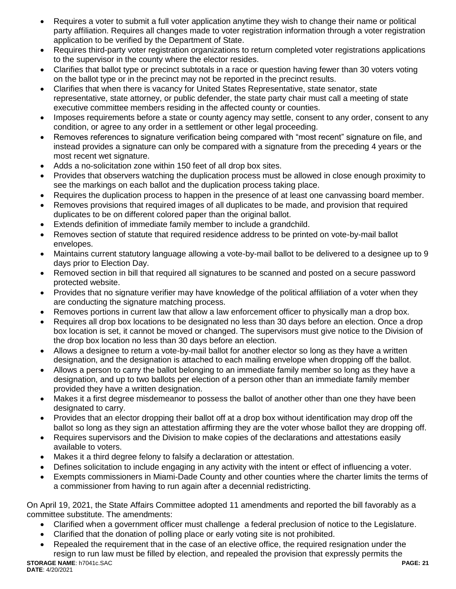- Requires a voter to submit a full voter application anytime they wish to change their name or political party affiliation. Requires all changes made to voter registration information through a voter registration application to be verified by the Department of State.
- Requires third-party voter registration organizations to return completed voter registrations applications to the supervisor in the county where the elector resides.
- Clarifies that ballot type or precinct subtotals in a race or question having fewer than 30 voters voting on the ballot type or in the precinct may not be reported in the precinct results.
- Clarifies that when there is vacancy for United States Representative, state senator, state representative, state attorney, or public defender, the state party chair must call a meeting of state executive committee members residing in the affected county or counties.
- Imposes requirements before a state or county agency may settle, consent to any order, consent to any condition, or agree to any order in a settlement or other legal proceeding.
- Removes references to signature verification being compared with "most recent" signature on file, and instead provides a signature can only be compared with a signature from the preceding 4 years or the most recent wet signature.
- Adds a no-solicitation zone within 150 feet of all drop box sites.
- Provides that observers watching the duplication process must be allowed in close enough proximity to see the markings on each ballot and the duplication process taking place.
- Requires the duplication process to happen in the presence of at least one canvassing board member.
- Removes provisions that required images of all duplicates to be made, and provision that required duplicates to be on different colored paper than the original ballot.
- Extends definition of immediate family member to include a grandchild.
- Removes section of statute that required residence address to be printed on vote-by-mail ballot envelopes.
- Maintains current statutory language allowing a vote-by-mail ballot to be delivered to a designee up to 9 days prior to Election Day.
- Removed section in bill that required all signatures to be scanned and posted on a secure password protected website.
- Provides that no signature verifier may have knowledge of the political affiliation of a voter when they are conducting the signature matching process.
- Removes portions in current law that allow a law enforcement officer to physically man a drop box.
- Requires all drop box locations to be designated no less than 30 days before an election. Once a drop box location is set, it cannot be moved or changed. The supervisors must give notice to the Division of the drop box location no less than 30 days before an election.
- Allows a designee to return a vote-by-mail ballot for another elector so long as they have a written designation, and the designation is attached to each mailing envelope when dropping off the ballot.
- Allows a person to carry the ballot belonging to an immediate family member so long as they have a designation, and up to two ballots per election of a person other than an immediate family member provided they have a written designation.
- Makes it a first degree misdemeanor to possess the ballot of another other than one they have been designated to carry.
- Provides that an elector dropping their ballot off at a drop box without identification may drop off the ballot so long as they sign an attestation affirming they are the voter whose ballot they are dropping off.
- Requires supervisors and the Division to make copies of the declarations and attestations easily available to voters.
- Makes it a third degree felony to falsify a declaration or attestation.
- Defines solicitation to include engaging in any activity with the intent or effect of influencing a voter.
- Exempts commissioners in Miami-Dade County and other counties where the charter limits the terms of a commissioner from having to run again after a decennial redistricting.

On April 19, 2021, the State Affairs Committee adopted 11 amendments and reported the bill favorably as a committee substitute. The amendments:

- Clarified when a government officer must challenge a federal preclusion of notice to the Legislature.
- Clarified that the donation of polling place or early voting site is not prohibited.
- **STORAGE NAME**: h7041c.SAC **PAGE: 21** Repealed the requirement that in the case of an elective office, the required resignation under the resign to run law must be filled by election, and repealed the provision that expressly permits the